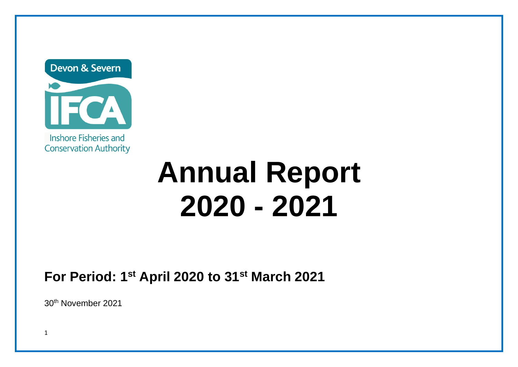Devon & Severn

Inshore Fisheries and **Conservation Authority** 

# **Annual Report 2020 - 2021**

**For Period: 1st April 2020 to 31st March 2021**

30th November 2021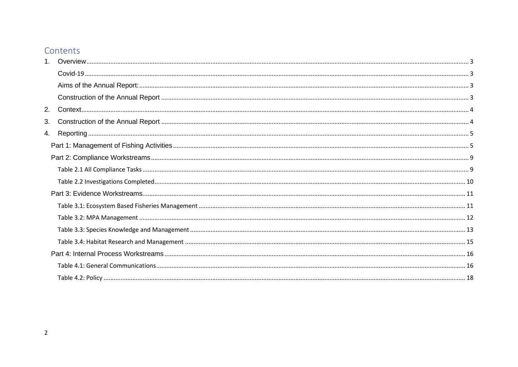## Contents

| 2. |  |
|----|--|
| 3. |  |
| 4. |  |
|    |  |
|    |  |
|    |  |
|    |  |
|    |  |
|    |  |
|    |  |
|    |  |
|    |  |
|    |  |
|    |  |
|    |  |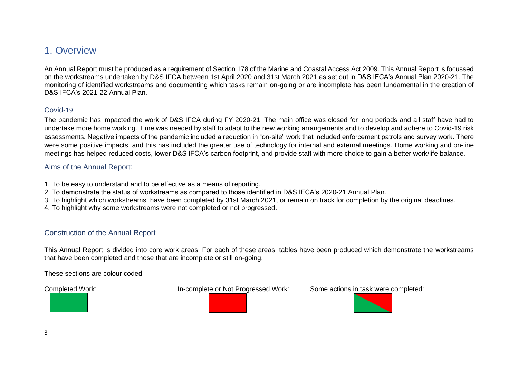## <span id="page-2-0"></span>1. Overview

An Annual Report must be produced as a requirement of Section 178 of the Marine and Coastal Access Act 2009. This Annual Report is focussed on the workstreams undertaken by D&S IFCA between 1st April 2020 and 31st March 2021 as set out in D&S IFCA's Annual Plan 2020-21. The monitoring of identified workstreams and documenting which tasks remain on-going or are incomplete has been fundamental in the creation of D&S IFCA's 2021-22 Annual Plan.

#### <span id="page-2-1"></span>Covid-19

The pandemic has impacted the work of D&S IFCA during FY 2020-21. The main office was closed for long periods and all staff have had to undertake more home working. Time was needed by staff to adapt to the new working arrangements and to develop and adhere to Covid-19 risk assessments. Negative impacts of the pandemic included a reduction in "on-site" work that included enforcement patrols and survey work. There were some positive impacts, and this has included the greater use of technology for internal and external meetings. Home working and on-line meetings has helped reduced costs, lower D&S IFCA's carbon footprint, and provide staff with more choice to gain a better work/life balance.

#### <span id="page-2-2"></span>Aims of the Annual Report:

- 1. To be easy to understand and to be effective as a means of reporting.
- 2. To demonstrate the status of workstreams as compared to those identified in D&S IFCA's 2020-21 Annual Plan.
- 3. To highlight which workstreams, have been completed by 31st March 2021, or remain on track for completion by the original deadlines.
- 4. To highlight why some workstreams were not completed or not progressed.

#### <span id="page-2-3"></span>Construction of the Annual Report

This Annual Report is divided into core work areas. For each of these areas, tables have been produced which demonstrate the workstreams that have been completed and those that are incomplete or still on-going.

These sections are colour coded:



Completed Work: In-complete or Not Progressed Work: Some actions in task were completed:

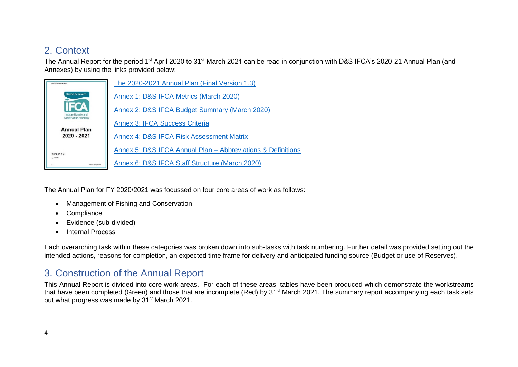## <span id="page-3-0"></span>2. Context

The Annual Report for the period 1st April 2020 to 31st March 2021 can be read in conjunction with D&S IFCA's 2020-21 Annual Plan (and Annexes) by using the links provided below:

| DAS IFOA Doppmentation                              | The 2020-2021 Annual Plan (Final Version 1.3)               |
|-----------------------------------------------------|-------------------------------------------------------------|
| Devon & Severn                                      | Annex 1: D&S IFCA Metrics (March 2020)                      |
| Inshore Fisheries and                               | Annex 2: D&S IFCA Budget Summary (March 2020)               |
| <b>Conservation Authority</b><br><b>Annual Plan</b> | <b>Annex 3: IFCA Success Criteria</b>                       |
| 2020 - 2021                                         | Annex 4: D&S IFCA Risk Assessment Matrix                    |
| Version 1.3                                         | Annex 5: D&S IFCA Annual Plan - Abbreviations & Definitions |
| April 2020<br>DIST INCA 22 <sup>14</sup> April 2020 | Annex 6: D&S IFCA Staff Structure (March 2020)              |

The Annual Plan for FY 2020/2021 was focussed on four core areas of work as follows:

- Management of Fishing and Conservation
- Compliance
- Evidence (sub-divided)
- Internal Process

Each overarching task within these categories was broken down into sub-tasks with task numbering. Further detail was provided setting out the intended actions, reasons for completion, an expected time frame for delivery and anticipated funding source (Budget or use of Reserves).

## <span id="page-3-1"></span>3. Construction of the Annual Report

This Annual Report is divided into core work areas. For each of these areas, tables have been produced which demonstrate the workstreams that have been completed (Green) and those that are incomplete (Red) by 31<sup>st</sup> March 2021. The summary report accompanying each task sets out what progress was made by 31<sup>st</sup> March 2021.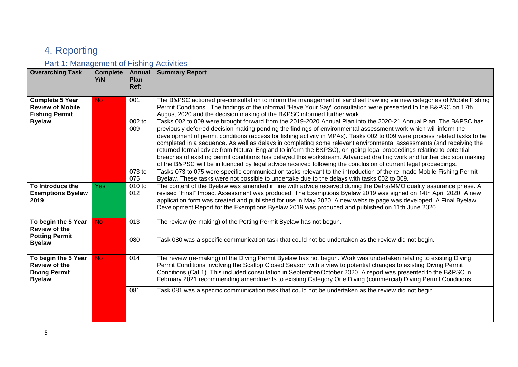## <span id="page-4-0"></span>4. Reporting

## <span id="page-4-1"></span>Part 1: Management of Fishing Activities

| <b>Overarching Task</b>                                                              | <b>Complete</b><br>Y/N | <b>Annual</b><br>Plan<br>Ref: | <b>Summary Report</b>                                                                                                                                                                                                                                                                                                                                                                                                                                                                                                                                                                                                                                                                                                                                                                                                                                      |
|--------------------------------------------------------------------------------------|------------------------|-------------------------------|------------------------------------------------------------------------------------------------------------------------------------------------------------------------------------------------------------------------------------------------------------------------------------------------------------------------------------------------------------------------------------------------------------------------------------------------------------------------------------------------------------------------------------------------------------------------------------------------------------------------------------------------------------------------------------------------------------------------------------------------------------------------------------------------------------------------------------------------------------|
| <b>Complete 5 Year</b><br><b>Review of Mobile</b><br><b>Fishing Permit</b>           | No.                    | 001                           | The B&PSC actioned pre-consultation to inform the management of sand eel trawling via new categories of Mobile Fishing<br>Permit Conditions. The findings of the informal "Have Your Say" consultation were presented to the B&PSC on 17th<br>August 2020 and the decision making of the B&PSC informed further work.                                                                                                                                                                                                                                                                                                                                                                                                                                                                                                                                      |
| <b>Byelaw</b>                                                                        |                        | 002 to<br>009                 | Tasks 002 to 009 were brought forward from the 2019-2020 Annual Plan into the 2020-21 Annual Plan. The B&PSC has<br>previously deferred decision making pending the findings of environmental assessment work which will inform the<br>development of permit conditions (access for fishing activity in MPAs). Tasks 002 to 009 were process related tasks to be<br>completed in a sequence. As well as delays in completing some relevant environmental assessments (and receiving the<br>returned formal advice from Natural England to inform the B&PSC), on-going legal proceedings relating to potential<br>breaches of existing permit conditions has delayed this workstream. Advanced drafting work and further decision making<br>of the B&PSC will be influenced by legal advice received following the conclusion of current legal proceedings. |
|                                                                                      |                        | 073 to<br>075                 | Tasks 073 to 075 were specific communication tasks relevant to the introduction of the re-made Mobile Fishing Permit<br>Byelaw. These tasks were not possible to undertake due to the delays with tasks 002 to 009.                                                                                                                                                                                                                                                                                                                                                                                                                                                                                                                                                                                                                                        |
| To Introduce the<br><b>Exemptions Byelaw</b><br>2019                                 | <b>Yes</b>             | 010 to<br>012                 | The content of the Byelaw was amended in line with advice received during the Defra/MMO quality assurance phase. A<br>revised "Final" Impact Assessment was produced. The Exemptions Byelaw 2019 was signed on 14th April 2020. A new<br>application form was created and published for use in May 2020. A new website page was developed. A Final Byelaw<br>Development Report for the Exemptions Byelaw 2019 was produced and published on 11th June 2020.                                                                                                                                                                                                                                                                                                                                                                                               |
| To begin the 5 Year<br><b>Review of the</b>                                          | <b>No</b>              | 013                           | The review (re-making) of the Potting Permit Byelaw has not begun.                                                                                                                                                                                                                                                                                                                                                                                                                                                                                                                                                                                                                                                                                                                                                                                         |
| <b>Potting Permit</b><br><b>Byelaw</b>                                               |                        | 080                           | Task 080 was a specific communication task that could not be undertaken as the review did not begin.                                                                                                                                                                                                                                                                                                                                                                                                                                                                                                                                                                                                                                                                                                                                                       |
| To begin the 5 Year<br><b>Review of the</b><br><b>Diving Permit</b><br><b>Byelaw</b> | <b>No</b>              | 014                           | The review (re-making) of the Diving Permit Byelaw has not begun. Work was undertaken relating to existing Diving<br>Permit Conditions involving the Scallop Closed Season with a view to potential changes to existing Diving Permit<br>Conditions (Cat 1). This included consultation in September/October 2020. A report was presented to the B&PSC in<br>February 2021 recommending amendments to existing Category One Diving (commercial) Diving Permit Conditions                                                                                                                                                                                                                                                                                                                                                                                   |
|                                                                                      |                        | 081                           | Task 081 was a specific communication task that could not be undertaken as the review did not begin.                                                                                                                                                                                                                                                                                                                                                                                                                                                                                                                                                                                                                                                                                                                                                       |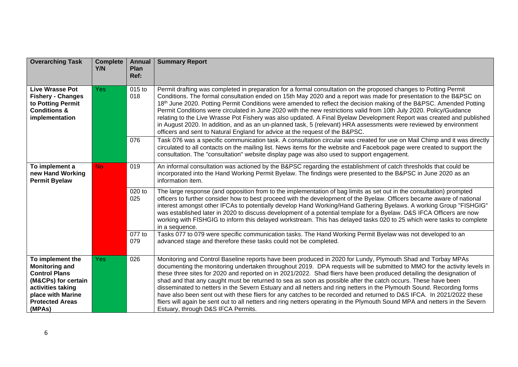| <b>Overarching Task</b>                                                                                                                                                | <b>Complete</b><br>Y/N | <b>Annual</b><br>Plan<br>Ref: | <b>Summary Report</b>                                                                                                                                                                                                                                                                                                                                                                                                                                                                                                                                                                                                                                                                                                                                                                                                                                                                                 |
|------------------------------------------------------------------------------------------------------------------------------------------------------------------------|------------------------|-------------------------------|-------------------------------------------------------------------------------------------------------------------------------------------------------------------------------------------------------------------------------------------------------------------------------------------------------------------------------------------------------------------------------------------------------------------------------------------------------------------------------------------------------------------------------------------------------------------------------------------------------------------------------------------------------------------------------------------------------------------------------------------------------------------------------------------------------------------------------------------------------------------------------------------------------|
| <b>Live Wrasse Pot</b><br><b>Fishery - Changes</b><br>to Potting Permit<br><b>Conditions &amp;</b><br>implementation                                                   | <b>Yes</b>             | 015 to<br>018                 | Permit drafting was completed in preparation for a formal consultation on the proposed changes to Potting Permit<br>Conditions. The formal consultation ended on 15th May 2020 and a report was made for presentation to the B&PSC on<br>18th June 2020. Potting Permit Conditions were amended to reflect the decision making of the B&PSC. Amended Potting<br>Permit Conditions were circulated in June 2020 with the new restrictions valid from 10th July 2020. Policy/Guidance<br>relating to the Live Wrasse Pot Fishery was also updated. A Final Byelaw Development Report was created and published<br>in August 2020. In addition, and as an un-planned task, 5 (relevant) HRA assessments were reviewed by environment<br>officers and sent to Natural England for advice at the request of the B&PSC.                                                                                     |
|                                                                                                                                                                        |                        | 076                           | Task 076 was a specific communication task. A consultation circular was created for use on Mail Chimp and it was directly<br>circulated to all contacts on the mailing list. News items for the website and Facebook page were created to support the<br>consultation. The "consultation" website display page was also used to support engagement.                                                                                                                                                                                                                                                                                                                                                                                                                                                                                                                                                   |
| To implement a<br>new Hand Working<br><b>Permit Byelaw</b>                                                                                                             | No.                    | 019                           | An informal consultation was actioned by the B&PSC regarding the establishment of catch thresholds that could be<br>incorporated into the Hand Working Permit Byelaw. The findings were presented to the B&PSC in June 2020 as an<br>information item.                                                                                                                                                                                                                                                                                                                                                                                                                                                                                                                                                                                                                                                |
|                                                                                                                                                                        |                        | 020 to<br>025                 | The large response (and opposition from to the implementation of bag limits as set out in the consultation) prompted<br>officers to further consider how to best proceed with the development of the Byelaw. Officers became aware of national<br>interest amongst other IFCAs to potentially develop Hand Working/Hand Gathering Byelaws. A working Group "FISHGIG"<br>was established later in 2020 to discuss development of a potential template for a Byelaw. D&S IFCA Officers are now<br>working with FISHGIG to inform this delayed workstream. This has delayed tasks 020 to 25 which were tasks to complete<br>in a sequence.                                                                                                                                                                                                                                                               |
|                                                                                                                                                                        |                        | 077 to<br>079                 | Tasks 077 to 079 were specific communication tasks. The Hand Working Permit Byelaw was not developed to an<br>advanced stage and therefore these tasks could not be completed.                                                                                                                                                                                                                                                                                                                                                                                                                                                                                                                                                                                                                                                                                                                        |
| To implement the<br><b>Monitoring and</b><br><b>Control Plans</b><br>(M&CPs) for certain<br>activities taking<br>place with Marine<br><b>Protected Areas</b><br>(MPAs) | <b>Yes</b>             | 026                           | Monitoring and Control Baseline reports have been produced in 2020 for Lundy, Plymouth Shad and Torbay MPAs<br>documenting the monitoring undertaken throughout 2019. DPA requests will be submitted to MMO for the activity levels in<br>these three sites for 2020 and reported on in 2021/2022. Shad fliers have been produced detailing the designation of<br>shad and that any caught must be returned to sea as soon as possible after the catch occurs. These have been<br>disseminated to netters in the Severn Estuary and all netters and ring netters in the Plymouth Sound. Recording forms<br>have also been sent out with these fliers for any catches to be recorded and returned to D&S IFCA. In 2021/2022 these<br>fliers will again be sent out to all netters and ring netters operating in the Plymouth Sound MPA and netters in the Severn<br>Estuary, through D&S IFCA Permits. |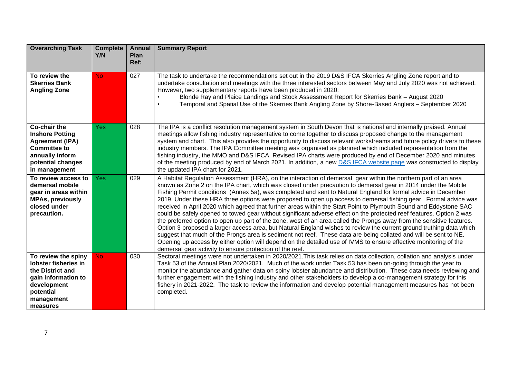| <b>Overarching Task</b>                                                                                                                                 | <b>Complete</b><br>Y/N | <b>Annual</b><br><b>Plan</b><br>Ref: | <b>Summary Report</b>                                                                                                                                                                                                                                                                                                                                                                                                                                                                                                                                                                                                                                                                                                                                                                                                                                                                                                                                                                                                                                                                                                                                                                                                                                                |
|---------------------------------------------------------------------------------------------------------------------------------------------------------|------------------------|--------------------------------------|----------------------------------------------------------------------------------------------------------------------------------------------------------------------------------------------------------------------------------------------------------------------------------------------------------------------------------------------------------------------------------------------------------------------------------------------------------------------------------------------------------------------------------------------------------------------------------------------------------------------------------------------------------------------------------------------------------------------------------------------------------------------------------------------------------------------------------------------------------------------------------------------------------------------------------------------------------------------------------------------------------------------------------------------------------------------------------------------------------------------------------------------------------------------------------------------------------------------------------------------------------------------|
| To review the<br><b>Skerries Bank</b><br><b>Angling Zone</b>                                                                                            | <b>No</b>              | 027                                  | The task to undertake the recommendations set out in the 2019 D&S IFCA Skerries Angling Zone report and to<br>undertake consultation and meetings with the three interested sectors between May and July 2020 was not achieved.<br>However, two supplementary reports have been produced in 2020:<br>Blonde Ray and Plaice Landings and Stock Assessment Report for Skerries Bank - August 2020<br>Temporal and Spatial Use of the Skerries Bank Angling Zone by Shore-Based Anglers - September 2020                                                                                                                                                                                                                                                                                                                                                                                                                                                                                                                                                                                                                                                                                                                                                                |
| <b>Co-chair the</b><br><b>Inshore Potting</b><br><b>Agreement (IPA)</b><br><b>Committee to</b><br>annually inform<br>potential changes<br>in management | Yes                    | 028                                  | The IPA is a conflict resolution management system in South Devon that is national and internally praised. Annual<br>meetings allow fishing industry representative to come together to discuss proposed change to the management<br>system and chart. This also provides the opportunity to discuss relevant workstreams and future policy drivers to these<br>industry members. The IPA Committee meeting was organised as planned which included representation from the<br>fishing industry, the MMO and D&S IFCA. Revised IPA charts were produced by end of December 2020 and minutes<br>of the meeting produced by end of March 2021. In addition, a new D&S IFCA website page was constructed to display<br>the updated IPA chart for 2021.                                                                                                                                                                                                                                                                                                                                                                                                                                                                                                                  |
| To review access to<br>demersal mobile<br>gear in areas within<br><b>MPAs, previously</b><br>closed under<br>precaution.                                | <b>Yes</b>             | 029                                  | A Habitat Regulation Assessment (HRA), on the interaction of demersal gear within the northern part of an area<br>known as Zone 2 on the IPA chart, which was closed under precaution to demersal gear in 2014 under the Mobile<br>Fishing Permit conditions (Annex 5a), was completed and sent to Natural England for formal advice in December<br>2019. Under these HRA three options were proposed to open up access to demersal fishing gear. Formal advice was<br>received in April 2020 which agreed that further areas within the Start Point to Plymouth Sound and Eddystone SAC<br>could be safely opened to towed gear without significant adverse effect on the protected reef features. Option 2 was<br>the preferred option to open up part of the zone, west of an area called the Prongs away from the sensitive features.<br>Option 3 proposed a larger access area, but Natural England wishes to review the current ground truthing data which<br>suggest that much of the Prongs area is sediment not reef. These data are being collated and will be sent to NE.<br>Opening up access by either option will depend on the detailed use of IVMS to ensure effective monitoring of the<br>demersal gear activity to ensure protection of the reef. |
| To review the spiny<br>lobster fisheries in<br>the District and<br>gain information to<br>development<br>potential<br>management<br>measures            | No.                    | 030                                  | Sectoral meetings were not undertaken in 2020/2021. This task relies on data collection, collation and analysis under<br>Task 53 of the Annual Plan 2020/2021. Much of the work under Task 53 has been on-going through the year to<br>monitor the abundance and gather data on spiny lobster abundance and distribution. These data needs reviewing and<br>further engagement with the fishing industry and other stakeholders to develop a co-management strategy for this<br>fishery in 2021-2022. The task to review the information and develop potential management measures has not been<br>completed.                                                                                                                                                                                                                                                                                                                                                                                                                                                                                                                                                                                                                                                        |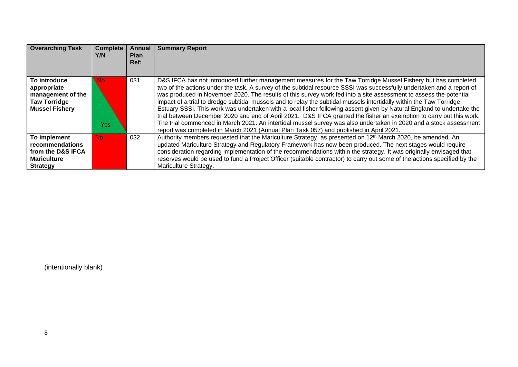| <b>Overarching Task</b>                                                                          | <b>Complete</b><br>Y/N. | Annual<br><b>Plan</b><br>Ref: | <b>Summary Report</b>                                                                                                                                                                                                                                                                                                                                                                                                                                                                                                                                                                                                                                                                                                                                                                                                                                                                                                                             |
|--------------------------------------------------------------------------------------------------|-------------------------|-------------------------------|---------------------------------------------------------------------------------------------------------------------------------------------------------------------------------------------------------------------------------------------------------------------------------------------------------------------------------------------------------------------------------------------------------------------------------------------------------------------------------------------------------------------------------------------------------------------------------------------------------------------------------------------------------------------------------------------------------------------------------------------------------------------------------------------------------------------------------------------------------------------------------------------------------------------------------------------------|
|                                                                                                  |                         |                               |                                                                                                                                                                                                                                                                                                                                                                                                                                                                                                                                                                                                                                                                                                                                                                                                                                                                                                                                                   |
| To introduce<br>appropriate<br>management of the<br><b>Taw Torridge</b><br><b>Mussel Fishery</b> | No<br><b>Yes</b>        | 031                           | D&S IFCA has not introduced further management measures for the Taw Torridge Mussel Fishery but has completed<br>two of the actions under the task. A survey of the subtidal resource SSSI was successfully undertaken and a report of<br>was produced in November 2020. The results of this survey work fed into a site assessment to assess the potential<br>impact of a trial to dredge subtidal mussels and to relay the subtidal mussels intertidally within the Taw Torridge<br>Estuary SSSI. This work was undertaken with a local fisher following assent given by Natural England to undertake the<br>trial between December 2020 and end of April 2021. D&S IFCA granted the fisher an exemption to carry out this work.<br>The trial commenced in March 2021. An intertidal mussel survey was also undertaken in 2020 and a stock assessment<br>report was completed in March 2021 (Annual Plan Task 057) and published in April 2021. |
| To implement<br>recommendations                                                                  | No.                     | 032                           | Authority members requested that the Mariculture Strategy, as presented on 12 <sup>th</sup> March 2020, be amended. An<br>updated Mariculture Strategy and Regulatory Framework has now been produced. The next stages would require                                                                                                                                                                                                                                                                                                                                                                                                                                                                                                                                                                                                                                                                                                              |
| from the D&S IFCA                                                                                |                         |                               | consideration regarding implementation of the recommendations within the strategy. It was originally envisaged that                                                                                                                                                                                                                                                                                                                                                                                                                                                                                                                                                                                                                                                                                                                                                                                                                               |
| <b>Mariculture</b>                                                                               |                         |                               | reserves would be used to fund a Project Officer (suitable contractor) to carry out some of the actions specified by the                                                                                                                                                                                                                                                                                                                                                                                                                                                                                                                                                                                                                                                                                                                                                                                                                          |
| <b>Strategy</b>                                                                                  |                         |                               | Mariculture Strategy.                                                                                                                                                                                                                                                                                                                                                                                                                                                                                                                                                                                                                                                                                                                                                                                                                                                                                                                             |

(intentionally blank)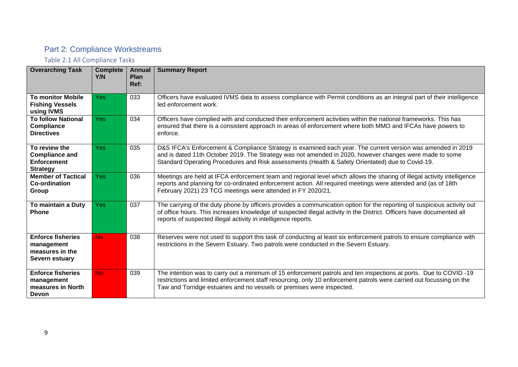## <span id="page-8-0"></span>Part 2: Compliance Workstreams

<span id="page-8-1"></span>Table 2.1 All Compliance Tasks

| <b>Overarching Task</b>                                                            | <b>Complete</b><br>Y/N | <b>Annual</b><br>Plan<br>Ref: | <b>Summary Report</b>                                                                                                                                                                                                                                                                                                      |
|------------------------------------------------------------------------------------|------------------------|-------------------------------|----------------------------------------------------------------------------------------------------------------------------------------------------------------------------------------------------------------------------------------------------------------------------------------------------------------------------|
| <b>To monitor Mobile</b><br><b>Fishing Vessels</b><br>using IVMS                   | Yes:                   | 033                           | Officers have evaluated IVMS data to assess compliance with Permit conditions as an integral part of their intelligence<br>led enforcement work.                                                                                                                                                                           |
| <b>To follow National</b><br>Compliance<br><b>Directives</b>                       | Yes:                   | 034                           | Officers have complied with and conducted their enforcement activities within the national frameworks. This has<br>ensured that there is a consistent approach in areas of enforcement where both MMO and IFCAs have powers to<br>enforce.                                                                                 |
| To review the<br><b>Compliance and</b><br><b>Enforcement</b><br><b>Strategy</b>    | <b>Yes</b>             | 035                           | D&S IFCA's Enforcement & Compliance Strategy is examined each year. The current version was amended in 2019<br>and is dated 11th October 2019. The Strategy was not amended in 2020, however changes were made to some<br>Standard Operating Procedures and Risk assessments (Health & Safety Orientated) due to Covid-19. |
| <b>Member of Tactical</b><br><b>Co-ordination</b><br>Group                         | Yes:                   | 036                           | Meetings are held at IFCA enforcement team and regional level which allows the sharing of illegal activity intelligence<br>reports and planning for co-ordinated enforcement action. All required meetings were attended and (as of 18th<br>February 2021) 23 TCG meetings were attended in FY 2020/21.                    |
| To maintain a Duty<br><b>Phone</b>                                                 | Yes                    | 037                           | The carrying of the duty phone by officers provides a communication option for the reporting of suspicious activity out<br>of office hours. This increases knowledge of suspected illegal activity in the District. Officers have documented all<br>reports of suspected illegal activity in intelligence reports.         |
| <b>Enforce fisheries</b><br>management<br>measures in the<br><b>Severn estuary</b> | N <sub>o</sub>         | 038                           | Reserves were not used to support this task of conducting at least six enforcement patrols to ensure compliance with<br>restrictions in the Severn Estuary. Two patrols were conducted in the Severn Estuary.                                                                                                              |
| <b>Enforce fisheries</b><br>management<br>measures in North<br><b>Devon</b>        | N <sub>o</sub>         | 039                           | The intention was to carry out a minimum of 15 enforcement patrols and ten inspections at ports. Due to COVID-19<br>restrictions and limited enforcement staff resourcing, only 10 enforcement patrols were carried out focussing on the<br>Taw and Torridge estuaries and no vessels or premises were inspected.          |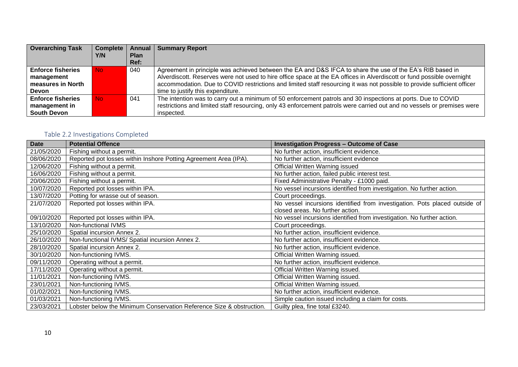| <b>Overarching Task</b>  | <b>Complete</b> | Annual      | <b>Summary Report</b>                                                                                                   |  |
|--------------------------|-----------------|-------------|-------------------------------------------------------------------------------------------------------------------------|--|
|                          | Y/N             | <b>Plan</b> |                                                                                                                         |  |
|                          |                 | Ref:        |                                                                                                                         |  |
| <b>Enforce fisheries</b> | No.             | 040         | Agreement in principle was achieved between the EA and D&S IFCA to share the use of the EA's RIB based in               |  |
| management               |                 |             | Alverdiscott. Reserves were not used to hire office space at the EA offices in Alverdiscott or fund possible overnight  |  |
| measures in North        |                 |             | accommodation. Due to COVID restrictions and limited staff resourcing it was not possible to provide sufficient officer |  |
| Devon                    |                 |             | time to justify this expenditure.                                                                                       |  |
| <b>Enforce fisheries</b> | No.             | 041         | The intention was to carry out a minimum of 50 enforcement patrols and 30 inspections at ports. Due to COVID            |  |
| management in            |                 |             | restrictions and limited staff resourcing, only 43 enforcement patrols were carried out and no vessels or premises were |  |
| South Devon              |                 |             | inspected.                                                                                                              |  |

## <span id="page-9-0"></span>Table 2.2 Investigations Completed

| <b>Date</b> | <b>Potential Offence</b>                                             | <b>Investigation Progress - Outcome of Case</b>                            |
|-------------|----------------------------------------------------------------------|----------------------------------------------------------------------------|
| 21/05/2020  | Fishing without a permit.                                            | No further action, insufficient evidence.                                  |
| 08/06/2020  | Reported pot losses within Inshore Potting Agreement Area (IPA).     | No further action, insufficient evidence                                   |
| 12/06/2020  | Fishing without a permit.                                            | Official Written Warning issued                                            |
| 16/06/2020  | Fishing without a permit.                                            | No further action, failed public interest test.                            |
| 20/06/2020  | Fishing without a permit.                                            | Fixed Administrative Penalty - £1000 paid.                                 |
| 10/07/2020  | Reported pot losses within IPA.                                      | No vessel incursions identified from investigation. No further action.     |
| 13/07/2020  | Potting for wrasse out of season.                                    | Court proceedings.                                                         |
| 21/07/2020  | Reported pot losses within IPA.                                      | No vessel incursions identified from investigation. Pots placed outside of |
|             |                                                                      | closed areas. No further action.                                           |
| 09/10/2020  | Reported pot losses within IPA.                                      | No vessel incursions identified from investigation. No further action.     |
| 13/10/2020  | Non-functional IVMS                                                  | Court proceedings.                                                         |
| 25/10/2020  | Spatial incursion Annex 2.                                           | No further action, insufficient evidence.                                  |
| 26/10/2020  | Non-functional IVMS/ Spatial incursion Annex 2.                      | No further action, insufficient evidence.                                  |
| 28/10/2020  | Spatial incursion Annex 2.                                           | No further action, insufficient evidence.                                  |
| 30/10/2020  | Non-functioning IVMS.                                                | Official Written Warning issued.                                           |
| 09/11/2020  | Operating without a permit.                                          | No further action, insufficient evidence.                                  |
| 17/11/2020  | Operating without a permit.                                          | Official Written Warning issued.                                           |
| 11/01/2021  | Non-functioning IVMS.                                                | Official Written Warning issued.                                           |
| 23/01/2021  | Non-functioning IVMS.                                                | Official Written Warning issued.                                           |
| 01/02/2021  | Non-functioning IVMS.                                                | No further action, insufficient evidence.                                  |
| 01/03/2021  | Non-functioning IVMS.                                                | Simple caution issued including a claim for costs.                         |
| 23/03/2021  | Lobster below the Minimum Conservation Reference Size & obstruction. | Guilty plea, fine total £3240.                                             |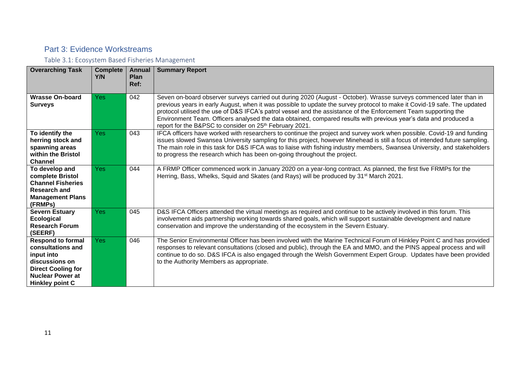### <span id="page-10-0"></span>Part 3: Evidence Workstreams

<span id="page-10-1"></span>Table 3.1: Ecosystem Based Fisheries Management

| <b>Overarching Task</b>                                                                                                                                         | <b>Complete</b><br>Y/N | <b>Annual</b><br>Plan<br>Ref: | <b>Summary Report</b>                                                                                                                                                                                                                                                                                                                                                                                                                                                                                                                                        |
|-----------------------------------------------------------------------------------------------------------------------------------------------------------------|------------------------|-------------------------------|--------------------------------------------------------------------------------------------------------------------------------------------------------------------------------------------------------------------------------------------------------------------------------------------------------------------------------------------------------------------------------------------------------------------------------------------------------------------------------------------------------------------------------------------------------------|
| <b>Wrasse On-board</b><br><b>Surveys</b>                                                                                                                        | Yes                    | 042                           | Seven on-board observer surveys carried out during 2020 (August - October). Wrasse surveys commenced later than in<br>previous years in early August, when it was possible to update the survey protocol to make it Covid-19 safe. The updated<br>protocol utilised the use of D&S IFCA's patrol vessel and the assistance of the Enforcement Team supporting the<br>Environment Team. Officers analysed the data obtained, compared results with previous year's data and produced a<br>report for the B&PSC to consider on 25 <sup>th</sup> February 2021. |
| To identify the<br>herring stock and<br>spawning areas<br>within the Bristol<br><b>Channel</b>                                                                  | Yes                    | 043                           | IFCA officers have worked with researchers to continue the project and survey work when possible. Covid-19 and funding<br>issues slowed Swansea University sampling for this project, however Minehead is still a focus of intended future sampling.<br>The main role in this task for D&S IFCA was to liaise with fishing industry members, Swansea University, and stakeholders<br>to progress the research which has been on-going throughout the project.                                                                                                |
| To develop and<br>complete Bristol<br><b>Channel Fisheries</b><br><b>Research and</b><br><b>Management Plans</b><br>(FRMPs)                                     | <b>Yes</b>             | 044                           | A FRMP Officer commenced work in January 2020 on a year-long contract. As planned, the first five FRMPs for the<br>Herring, Bass, Whelks, Squid and Skates (and Rays) will be produced by 31 <sup>st</sup> March 2021.                                                                                                                                                                                                                                                                                                                                       |
| <b>Severn Estuary</b><br>Ecological<br><b>Research Forum</b><br>(SEERF)                                                                                         | Yes                    | 045                           | D&S IFCA Officers attended the virtual meetings as required and continue to be actively involved in this forum. This<br>involvement aids partnership working towards shared goals, which will support sustainable development and nature<br>conservation and improve the understanding of the ecosystem in the Severn Estuary.                                                                                                                                                                                                                               |
| <b>Respond to formal</b><br>consultations and<br>input into<br>discussions on<br><b>Direct Cooling for</b><br><b>Nuclear Power at</b><br><b>Hinkley point C</b> | <b>Yes</b>             | 046                           | The Senior Environmental Officer has been involved with the Marine Technical Forum of Hinkley Point C and has provided<br>responses to relevant consultations (closed and public), through the EA and MMO, and the PINS appeal process and will<br>continue to do so. D&S IFCA is also engaged through the Welsh Government Expert Group. Updates have been provided<br>to the Authority Members as appropriate.                                                                                                                                             |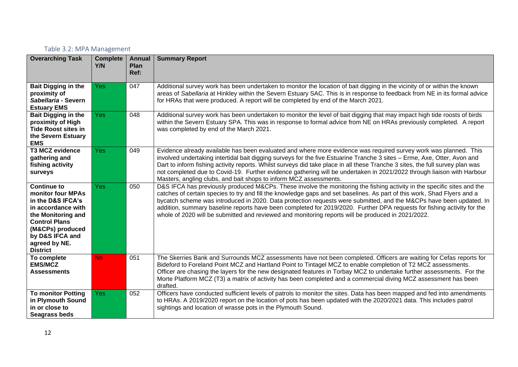#### <span id="page-11-0"></span>Table 3.2: MPA Management

| <b>Overarching Task</b>                                                                                                                                                                                     | <b>Complete</b><br>Y/N | <b>Annual</b><br>Plan<br>Ref: | <b>Summary Report</b>                                                                                                                                                                                                                                                                                                                                                                                                                                                                                                                                                                                       |
|-------------------------------------------------------------------------------------------------------------------------------------------------------------------------------------------------------------|------------------------|-------------------------------|-------------------------------------------------------------------------------------------------------------------------------------------------------------------------------------------------------------------------------------------------------------------------------------------------------------------------------------------------------------------------------------------------------------------------------------------------------------------------------------------------------------------------------------------------------------------------------------------------------------|
| <b>Bait Digging in the</b><br>proximity of<br>Sabellaria - Severn<br><b>Estuary EMS</b>                                                                                                                     | <b>Yes</b>             | 047                           | Additional survey work has been undertaken to monitor the location of bait digging in the vicinity of or within the known<br>areas of Sabellaria at Hinkley within the Severn Estuary SAC. This is in response to feedback from NE in its formal advice<br>for HRAs that were produced. A report will be completed by end of the March 2021.                                                                                                                                                                                                                                                                |
| <b>Bait Digging in the</b><br>proximity of High<br><b>Tide Roost sites in</b><br>the Severn Estuary<br><b>EMS</b>                                                                                           | <b>Yes</b>             | 048                           | Additional survey work has been undertaken to monitor the level of bait digging that may impact high tide roosts of birds<br>within the Severn Estuary SPA. This was in response to formal advice from NE on HRAs previously completed. A report<br>was completed by end of the March 2021.                                                                                                                                                                                                                                                                                                                 |
| <b>T3 MCZ evidence</b><br>gathering and<br>fishing activity<br>surveys                                                                                                                                      | <b>Yes</b>             | 049                           | Evidence already available has been evaluated and where more evidence was required survey work was planned. This<br>involved undertaking intertidal bait digging surveys for the five Estuarine Tranche 3 sites - Erme, Axe, Otter, Avon and<br>Dart to inform fishing activity reports. Whilst surveys did take place in all these Tranche 3 sites, the full survey plan was<br>not completed due to Covid-19. Further evidence gathering will be undertaken in 2021/2022 through liaison with Harbour<br>Masters, angling clubs, and bait shops to inform MCZ assessments.                                |
| <b>Continue to</b><br>monitor four MPAs<br>in the D&S IFCA's<br>in accordance with<br>the Monitoring and<br><b>Control Plans</b><br>(M&CPs) produced<br>by D&S IFCA and<br>agreed by NE.<br><b>District</b> | <b>Yes</b>             | 050                           | D&S IFCA has previously produced M&CPs. These involve the monitoring the fishing activity in the specific sites and the<br>catches of certain species to try and fill the knowledge gaps and set baselines. As part of this work, Shad Flyers and a<br>bycatch scheme was introduced in 2020. Data protection requests were submitted, and the M&CPs have been updated. In<br>addition, summary baseline reports have been completed for 2019/2020. Further DPA requests for fishing activity for the<br>whole of 2020 will be submitted and reviewed and monitoring reports will be produced in 2021/2022. |
| To complete<br><b>EMS/MCZ</b><br><b>Assessments</b>                                                                                                                                                         | N <sub>o</sub>         | 051                           | The Skerries Bank and Surrounds MCZ assessments have not been completed. Officers are waiting for Cefas reports for<br>Bideford to Foreland Point MCZ and Hartland Point to Tintagel MCZ to enable completion of T2 MCZ assessments.<br>Officer are chasing the layers for the new designated features in Torbay MCZ to undertake further assessments. For the<br>Morte Platform MCZ (T3) a matrix of activity has been completed and a commercial diving MCZ assessment has been<br>drafted.                                                                                                               |
| <b>To monitor Potting</b><br>in Plymouth Sound<br>in or close to<br>Seagrass beds                                                                                                                           | Yes:                   | 052                           | Officers have conducted sufficient levels of patrols to monitor the sites. Data has been mapped and fed into amendments<br>to HRAs. A 2019/2020 report on the location of pots has been updated with the 2020/2021 data. This includes patrol<br>sightings and location of wrasse pots in the Plymouth Sound.                                                                                                                                                                                                                                                                                               |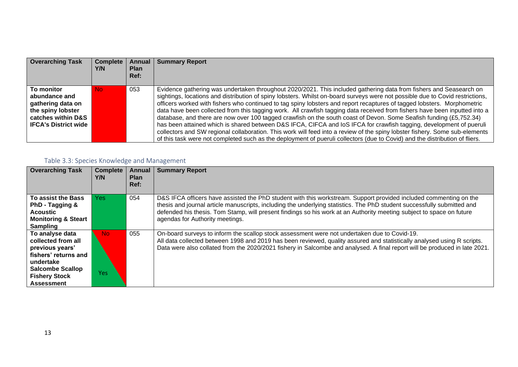| <b>Overarching Task</b>                                                                                               | <b>Complete</b><br>Y/N | Annual<br><b>Plan</b><br>Ref: | <b>Summary Report</b>                                                                                                                                                                                                                                                                                                                                                                                                                                                                                                                                                                                                                                                                                                                                                                                                                                                                                                                                                                                                   |
|-----------------------------------------------------------------------------------------------------------------------|------------------------|-------------------------------|-------------------------------------------------------------------------------------------------------------------------------------------------------------------------------------------------------------------------------------------------------------------------------------------------------------------------------------------------------------------------------------------------------------------------------------------------------------------------------------------------------------------------------------------------------------------------------------------------------------------------------------------------------------------------------------------------------------------------------------------------------------------------------------------------------------------------------------------------------------------------------------------------------------------------------------------------------------------------------------------------------------------------|
| To monitor<br>abundance and<br>gathering data on<br>the spiny lobster<br>catches within D&S<br>l IFCA's District wide | No.                    | 053                           | Evidence gathering was undertaken throughout 2020/2021. This included gathering data from fishers and Seasearch on<br>sightings, locations and distribution of spiny lobsters. Whilst on-board surveys were not possible due to Covid restrictions,<br>officers worked with fishers who continued to tag spiny lobsters and report recaptures of tagged lobsters. Morphometric<br>data have been collected from this tagging work. All crawfish tagging data received from fishers have been inputted into a<br>database, and there are now over 100 tagged crawfish on the south coast of Devon. Some Seafish funding (£5,752.34)<br>has been attained which is shared between D&S IFCA, CIFCA and IoS IFCA for crawfish tagging, development of pueruli<br>collectors and SW regional collaboration. This work will feed into a review of the spiny lobster fishery. Some sub-elements<br>of this task were not completed such as the deployment of pueruli collectors (due to Covid) and the distribution of fliers. |

## <span id="page-12-0"></span>Table 3.3: Species Knowledge and Management

| <b>Overarching Task</b>                                                                                                                                               | <b>Complete</b><br>Y/N | Annual<br><b>Plan</b><br>Ref: | <b>Summary Report</b>                                                                                                                                                                                                                                                                                                                                                                                   |
|-----------------------------------------------------------------------------------------------------------------------------------------------------------------------|------------------------|-------------------------------|---------------------------------------------------------------------------------------------------------------------------------------------------------------------------------------------------------------------------------------------------------------------------------------------------------------------------------------------------------------------------------------------------------|
| To assist the Bass<br>PhD - Tagging &<br><b>Acoustic</b><br><b>Monitoring &amp; Steart</b><br><b>Sampling</b>                                                         | Yes:                   | 054                           | D&S IFCA officers have assisted the PhD student with this workstream. Support provided included commenting on the<br>thesis and journal article manuscripts, including the underlying statistics. The PhD student successfully submitted and<br>defended his thesis. Tom Stamp, will present findings so his work at an Authority meeting subject to space on future<br>agendas for Authority meetings. |
| To analyse data<br>collected from all<br>previous years'<br>fishers' returns and<br>undertake<br><b>Salcombe Scallop</b><br><b>Fishery Stock</b><br><b>Assessment</b> | <b>No</b><br>Yes       | 055                           | On-board surveys to inform the scallop stock assessment were not undertaken due to Covid-19.<br>All data collected between 1998 and 2019 has been reviewed, quality assured and statistically analysed using R scripts.<br>Data were also collated from the 2020/2021 fishery in Salcombe and analysed. A final report will be produced in late 2021.                                                   |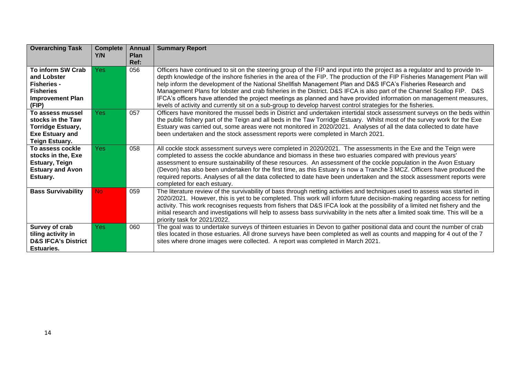| <b>Overarching Task</b>                                                                                              | <b>Complete</b><br>Y/N | <b>Annual</b><br>Plan<br>Ref: | <b>Summary Report</b>                                                                                                                                                                                                                                                                                                                                                                                                                                                                                                                                                                                                                                                                                                                     |
|----------------------------------------------------------------------------------------------------------------------|------------------------|-------------------------------|-------------------------------------------------------------------------------------------------------------------------------------------------------------------------------------------------------------------------------------------------------------------------------------------------------------------------------------------------------------------------------------------------------------------------------------------------------------------------------------------------------------------------------------------------------------------------------------------------------------------------------------------------------------------------------------------------------------------------------------------|
| To inform SW Crab<br>and Lobster<br><b>Fisheries -</b><br><b>Fisheries</b><br><b>Improvement Plan</b><br>(FIP)       | <b>Yes</b>             | 056                           | Officers have continued to sit on the steering group of the FIP and input into the project as a regulator and to provide In-<br>depth knowledge of the inshore fisheries in the area of the FIP. The production of the FIP Fisheries Management Plan will<br>help inform the development of the National Shellfish Management Plan and D&S IFCA's Fisheries Research and<br>Management Plans for lobster and crab fisheries in the District. D&S IFCA is also part of the Channel Scallop FIP. D&S<br>IFCA's officers have attended the project meetings as planned and have provided information on management measures,<br>levels of activity and currently sit on a sub-group to develop harvest control strategies for the fisheries. |
| To assess mussel<br>stocks in the Taw<br><b>Torridge Estuary,</b><br><b>Exe Estuary and</b><br><b>Teign Estuary.</b> | <b>Yes</b>             | 057                           | Officers have monitored the mussel beds in District and undertaken intertidal stock assessment surveys on the beds within<br>the public fishery part of the Teign and all beds in the Taw Torridge Estuary. Whilst most of the survey work for the Exe<br>Estuary was carried out, some areas were not monitored in 2020/2021. Analyses of all the data collected to date have<br>been undertaken and the stock assessment reports were completed in March 2021.                                                                                                                                                                                                                                                                          |
| To assess cockle<br>stocks in the, Exe<br><b>Estuary, Teign</b><br><b>Estuary and Avon</b><br>Estuary.               | <b>Yes</b>             | 058                           | All cockle stock assessment surveys were completed in 2020/2021. The assessments in the Exe and the Teign were<br>completed to assess the cockle abundance and biomass in these two estuaries compared with previous years'<br>assessment to ensure sustainability of these resources. An assessment of the cockle population in the Avon Estuary<br>(Devon) has also been undertaken for the first time, as this Estuary is now a Tranche 3 MCZ. Officers have produced the<br>required reports. Analyses of all the data collected to date have been undertaken and the stock assessment reports were<br>completed for each estuary.                                                                                                    |
| <b>Bass Survivability</b>                                                                                            | <b>No</b>              | 059                           | The literature review of the survivability of bass through netting activities and techniques used to assess was started in<br>2020/2021. However, this is yet to be completed. This work will inform future decision-making regarding access for netting<br>activity. This work recognises requests from fishers that D&S IFCA look at the possibility of a limited net fishery and the<br>initial research and investigations will help to assess bass survivability in the nets after a limited soak time. This will be a<br>priority task for 2021/2022.                                                                                                                                                                               |
| Survey of crab<br>tiling activity in<br><b>D&amp;S IFCA's District</b><br><b>Estuaries.</b>                          | <b>Yes</b>             | 060                           | The goal was to undertake surveys of thirteen estuaries in Devon to gather positional data and count the number of crab<br>tiles located in those estuaries. All drone surveys have been completed as well as counts and mapping for 4 out of the 7<br>sites where drone images were collected. A report was completed in March 2021.                                                                                                                                                                                                                                                                                                                                                                                                     |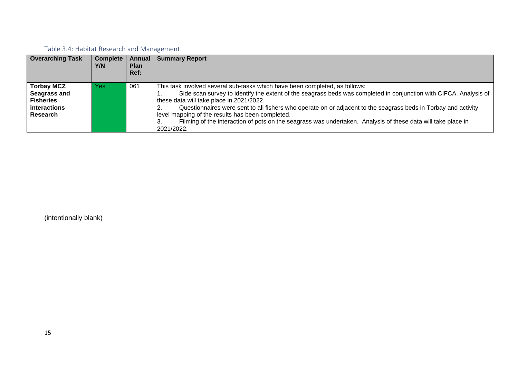### <span id="page-14-0"></span>Table 3.4: Habitat Research and Management

| <b>Overarching Task</b>                                                                  | $Complete \,   \,$<br>Y/N | Annual<br><b>Plan</b><br>Ref: | <b>Summary Report</b>                                                                                                                                                                                                                                                                                                                                                                                                                                                                                                                            |
|------------------------------------------------------------------------------------------|---------------------------|-------------------------------|--------------------------------------------------------------------------------------------------------------------------------------------------------------------------------------------------------------------------------------------------------------------------------------------------------------------------------------------------------------------------------------------------------------------------------------------------------------------------------------------------------------------------------------------------|
| <b>Torbay MCZ</b><br>Seagrass and<br><b>Fisheries</b><br><i>interactions</i><br>Research | Yes                       | 061                           | This task involved several sub-tasks which have been completed, as follows:<br>Side scan survey to identify the extent of the seagrass beds was completed in conjunction with CIFCA. Analysis of<br>these data will take place in 2021/2022.<br>Questionnaires were sent to all fishers who operate on or adjacent to the seagrass beds in Torbay and activity<br>level mapping of the results has been completed.<br>Filming of the interaction of pots on the seagrass was undertaken. Analysis of these data will take place in<br>2021/2022. |

(intentionally blank)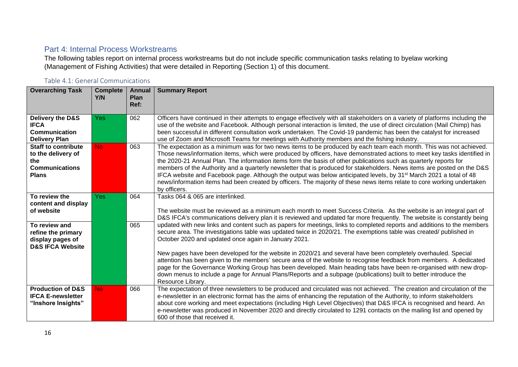#### <span id="page-15-0"></span>Part 4: Internal Process Workstreams

The following tables report on internal process workstreams but do not include specific communication tasks relating to byelaw working (Management of Fishing Activities) that were detailed in Reporting (Section 1) of this document.

#### <span id="page-15-1"></span>Table 4.1: General Communications

| <b>Overarching Task</b>                                                                          | <b>Complete</b><br>Y/N | <b>Annual</b><br>Plan<br>Ref: | <b>Summary Report</b>                                                                                                                                                                                                                                                                                                                                                                                                                                                                                                                                                                                                                                                                                                                                                       |
|--------------------------------------------------------------------------------------------------|------------------------|-------------------------------|-----------------------------------------------------------------------------------------------------------------------------------------------------------------------------------------------------------------------------------------------------------------------------------------------------------------------------------------------------------------------------------------------------------------------------------------------------------------------------------------------------------------------------------------------------------------------------------------------------------------------------------------------------------------------------------------------------------------------------------------------------------------------------|
|                                                                                                  |                        |                               |                                                                                                                                                                                                                                                                                                                                                                                                                                                                                                                                                                                                                                                                                                                                                                             |
| Delivery the D&S<br><b>IFCA</b><br><b>Communication</b><br><b>Delivery Plan</b>                  | <b>Yes</b>             | 062                           | Officers have continued in their attempts to engage effectively with all stakeholders on a variety of platforms including the<br>use of the website and Facebook. Although personal interaction is limited, the use of direct circulation (Mail Chimp) has<br>been successful in different consultation work undertaken. The Covid-19 pandemic has been the catalyst for increased<br>use of Zoom and Microsoft Teams for meetings with Authority members and the fishing industry.                                                                                                                                                                                                                                                                                         |
| <b>Staff to contribute</b><br>to the delivery of<br>the<br><b>Communications</b><br><b>Plans</b> | <b>No</b>              | 063                           | The expectation as a minimum was for two news items to be produced by each team each month. This was not achieved.<br>Those news/information items, which were produced by officers, have demonstrated actions to meet key tasks identified in<br>the 2020-21 Annual Plan. The information items form the basis of other publications such as quarterly reports for<br>members of the Authority and a quarterly newsletter that is produced for stakeholders. News items are posted on the D&S<br>IFCA website and Facebook page. Although the output was below anticipated levels, by 31 <sup>st</sup> March 2021 a total of 48<br>news/information items had been created by officers. The majority of these news items relate to core working undertaken<br>by officers. |
| To review the<br>content and display<br>of website                                               | Yes.                   | 064                           | Tasks 064 & 065 are interlinked.<br>The website must be reviewed as a minimum each month to meet Success Criteria. As the website is an integral part of<br>D&S IFCA's communications delivery plan it is reviewed and updated far more frequently. The website is constantly being                                                                                                                                                                                                                                                                                                                                                                                                                                                                                         |
| To review and<br>refine the primary<br>display pages of<br><b>D&amp;S IFCA Website</b>           |                        | 065                           | updated with new links and content such as papers for meetings, links to completed reports and additions to the members<br>secure area. The investigations table was updated twice in 2020/21. The exemptions table was created/ published in<br>October 2020 and updated once again in January 2021.                                                                                                                                                                                                                                                                                                                                                                                                                                                                       |
|                                                                                                  |                        |                               | New pages have been developed for the website in 2020/21 and several have been completely overhauled. Special<br>attention has been given to the members' secure area of the website to recognise feedback from members. A dedicated<br>page for the Governance Working Group has been developed. Main heading tabs have been re-organised with new drop-<br>down menus to include a page for Annual Plans/Reports and a subpage (publications) built to better introduce the<br>Resource Library.                                                                                                                                                                                                                                                                          |
| <b>Production of D&amp;S</b><br><b>IFCA E-newsletter</b><br>"Inshore Insights"                   | N <sub>o</sub>         | 066                           | The expectation of three newsletters to be produced and circulated was not achieved. The creation and circulation of the<br>e-newsletter in an electronic format has the aims of enhancing the reputation of the Authority, to inform stakeholders<br>about core working and meet expectations (including High Level Objectives) that D&S IFCA is recognised and heard. An<br>e-newsletter was produced in November 2020 and directly circulated to 1291 contacts on the mailing list and opened by<br>600 of those that received it.                                                                                                                                                                                                                                       |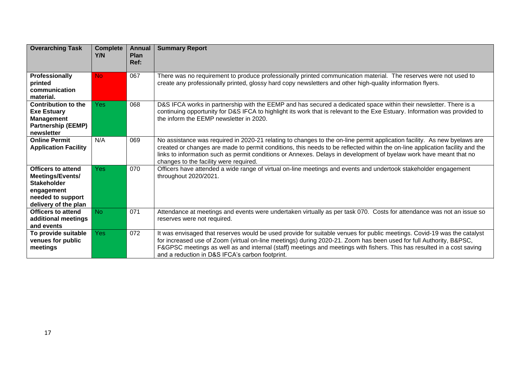| <b>Overarching Task</b>                                                                                                        | <b>Complete</b><br>Y/N | <b>Annual</b><br>Plan<br>Ref: | <b>Summary Report</b>                                                                                                                                                                                                                                                                                                                                                                                                      |
|--------------------------------------------------------------------------------------------------------------------------------|------------------------|-------------------------------|----------------------------------------------------------------------------------------------------------------------------------------------------------------------------------------------------------------------------------------------------------------------------------------------------------------------------------------------------------------------------------------------------------------------------|
| Professionally<br>printed<br>communication<br>material.                                                                        | <b>No</b>              | 067                           | There was no requirement to produce professionally printed communication material. The reserves were not used to<br>create any professionally printed, glossy hard copy newsletters and other high-quality information flyers.                                                                                                                                                                                             |
| <b>Contribution to the</b><br><b>Exe Estuary</b><br><b>Management</b><br><b>Partnership (EEMP)</b><br>newsletter               | <b>Yes</b>             | 068                           | D&S IFCA works in partnership with the EEMP and has secured a dedicated space within their newsletter. There is a<br>continuing opportunity for D&S IFCA to highlight its work that is relevant to the Exe Estuary. Information was provided to<br>the inform the EEMP newsletter in 2020.                                                                                                                                 |
| <b>Online Permit</b><br><b>Application Facility</b>                                                                            | N/A                    | 069                           | No assistance was required in 2020-21 relating to changes to the on-line permit application facility. As new byelaws are<br>created or changes are made to permit conditions, this needs to be reflected within the on-line application facility and the<br>links to information such as permit conditions or Annexes. Delays in development of byelaw work have meant that no<br>changes to the facility were required.   |
| <b>Officers to attend</b><br>Meetings/Events/<br><b>Stakeholder</b><br>engagement<br>needed to support<br>delivery of the plan | <b>Yes</b>             | 070                           | Officers have attended a wide range of virtual on-line meetings and events and undertook stakeholder engagement<br>throughout 2020/2021.                                                                                                                                                                                                                                                                                   |
| <b>Officers to attend</b><br>additional meetings<br>and events                                                                 | <b>No</b>              | 071                           | Attendance at meetings and events were undertaken virtually as per task 070. Costs for attendance was not an issue so<br>reserves were not required.                                                                                                                                                                                                                                                                       |
| To provide suitable<br>venues for public<br>meetings                                                                           | <b>Yes</b>             | 072                           | It was envisaged that reserves would be used provide for suitable venues for public meetings. Covid-19 was the catalyst<br>for increased use of Zoom (virtual on-line meetings) during 2020-21. Zoom has been used for full Authority, B&PSC,<br>F&GPSC meetings as well as and internal (staff) meetings and meetings with fishers. This has resulted in a cost saving<br>and a reduction in D&S IFCA's carbon footprint. |